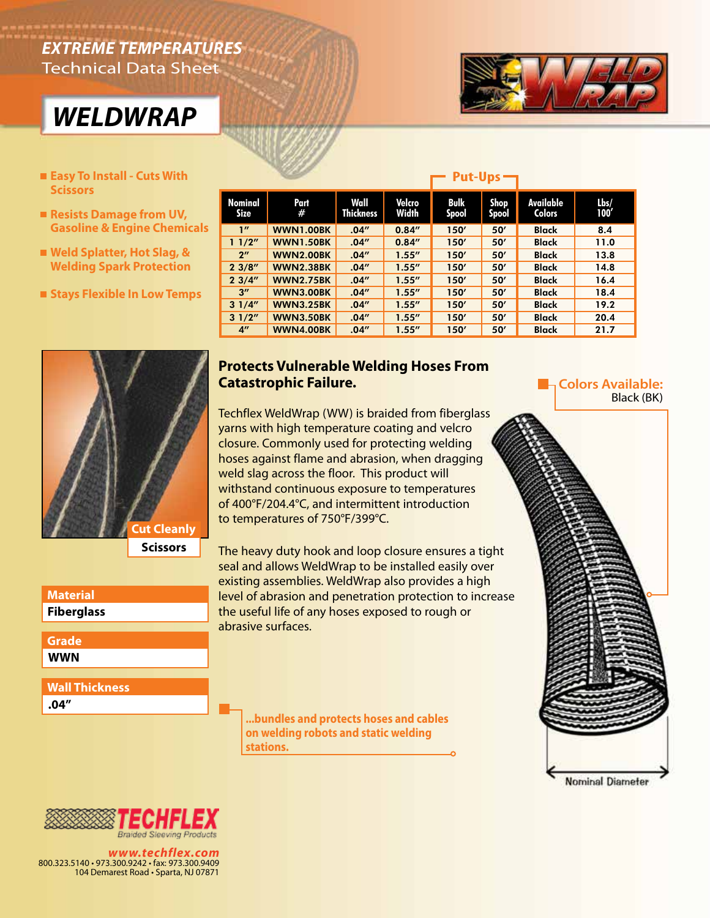## *EXTREME TEMPERATURES* Technical Data Sheet





- **Easy To Install Cuts With Put-Ups Put-Ups Put-Ups Put-Ups Scissors**
- Resists Damage from UV, **Gasoline & Engine Chemicals**
- Weld Splatter, Hot Slag, & **Welding Spark Protection**
- **Stays Flexible In Low Temps**



| Material          |  |  |  |  |
|-------------------|--|--|--|--|
| <b>Fiberglass</b> |  |  |  |  |
|                   |  |  |  |  |
| Grade             |  |  |  |  |

**WWN**

**Wall Thickness**

**.04"**

| Nominal<br>Size    | Part<br>#        | Wall<br>Thickness | Velcro<br>Width | <b>Bulk</b><br><b>Spool</b> | Shop<br>Spool | Available<br><b>Colors</b> | Lbs/<br>100' |
|--------------------|------------------|-------------------|-----------------|-----------------------------|---------------|----------------------------|--------------|
| 1''                | <b>WWN1.00BK</b> | .04''             | 0.84''          | 150'                        | 50'           | <b>Black</b>               | 8.4          |
| 11/2"              | <b>WWN1.50BK</b> | .04''             | 0.84''          | 150'                        | 50'           | <b>Black</b>               | 11.0         |
| 2 <sup>n</sup>     | <b>WWN2.00BK</b> | .04''             | 1.55''          | 150'                        | 50'           | <b>Black</b>               | 13.8         |
| 23/8''             | <b>WWN2.38BK</b> | .04''             | 1.55''          | 150'                        | 50'           | <b>Black</b>               | 14.8         |
| 23/4"              | <b>WWN2.75BK</b> | .04''             | 1.55''          | 150'                        | 50'           | <b>Black</b>               | 16.4         |
| $3^{\prime\prime}$ | <b>WWN3.00BK</b> | .04''             | 1.55''          | 150'                        | 50'           | <b>Black</b>               | 18.4         |
| 31/4"              | <b>WWN3.25BK</b> | .04''             | 1.55''          | 150'                        | 50'           | <b>Black</b>               | 19.2         |
| 31/2"              | <b>WWN3.50BK</b> | .04''             | 1.55''          | 150'                        | 50'           | <b>Black</b>               | 20.4         |
| $4^{\prime\prime}$ | <b>WWN4.00BK</b> | .04''             | 1.55''          | 150'                        | 50'           | <b>Black</b>               | 21.7         |

## **Protects Vulnerable Welding Hoses From Catastrophic Failure.**

Techflex WeldWrap (WW) is braided from fiberglass yarns with high temperature coating and velcro closure. Commonly used for protecting welding hoses against flame and abrasion, when dragging weld slag across the floor. This product will withstand continuous exposure to temperatures of 400°F/204.4°C, and intermittent introduction to temperatures of 750°F/399°C.

The heavy duty hook and loop closure ensures a tight seal and allows WeldWrap to be installed easily over existing assemblies. WeldWrap also provides a high level of abrasion and penetration protection to increase the useful life of any hoses exposed to rough or abrasive surfaces.

**...bundles and protects hoses and cables on welding robots and static welding stations.**

**La Colors Available:** Black (BK)





*www.techflex.com* 800.323.5140 • 973.300.9242 • fax: 973.300.9409 104 Demarest Road • Sparta, NJ 07871